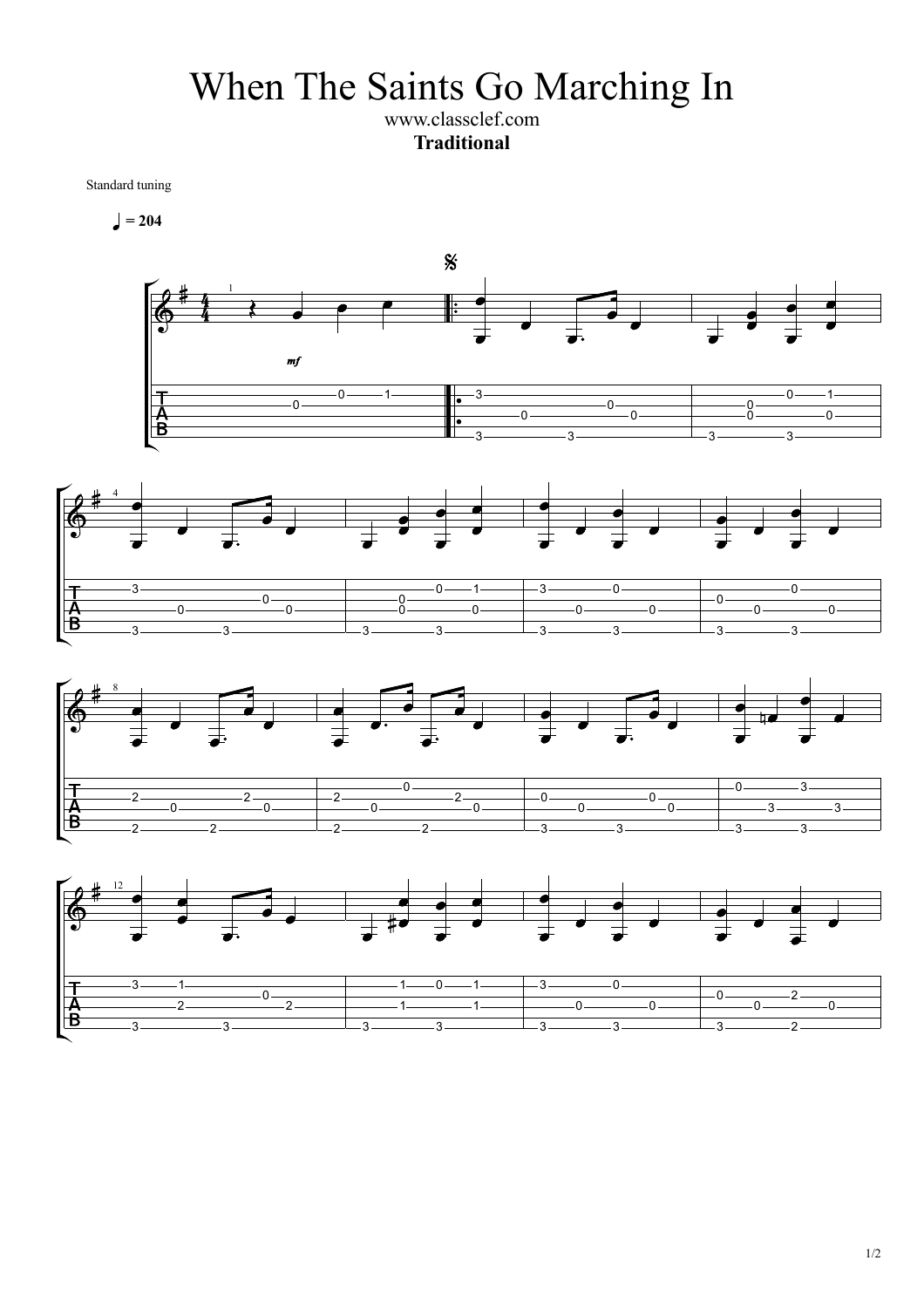When The Saints Go Marching In

www.classclef.com **Traditional**

Standard tuning

 $= 204$